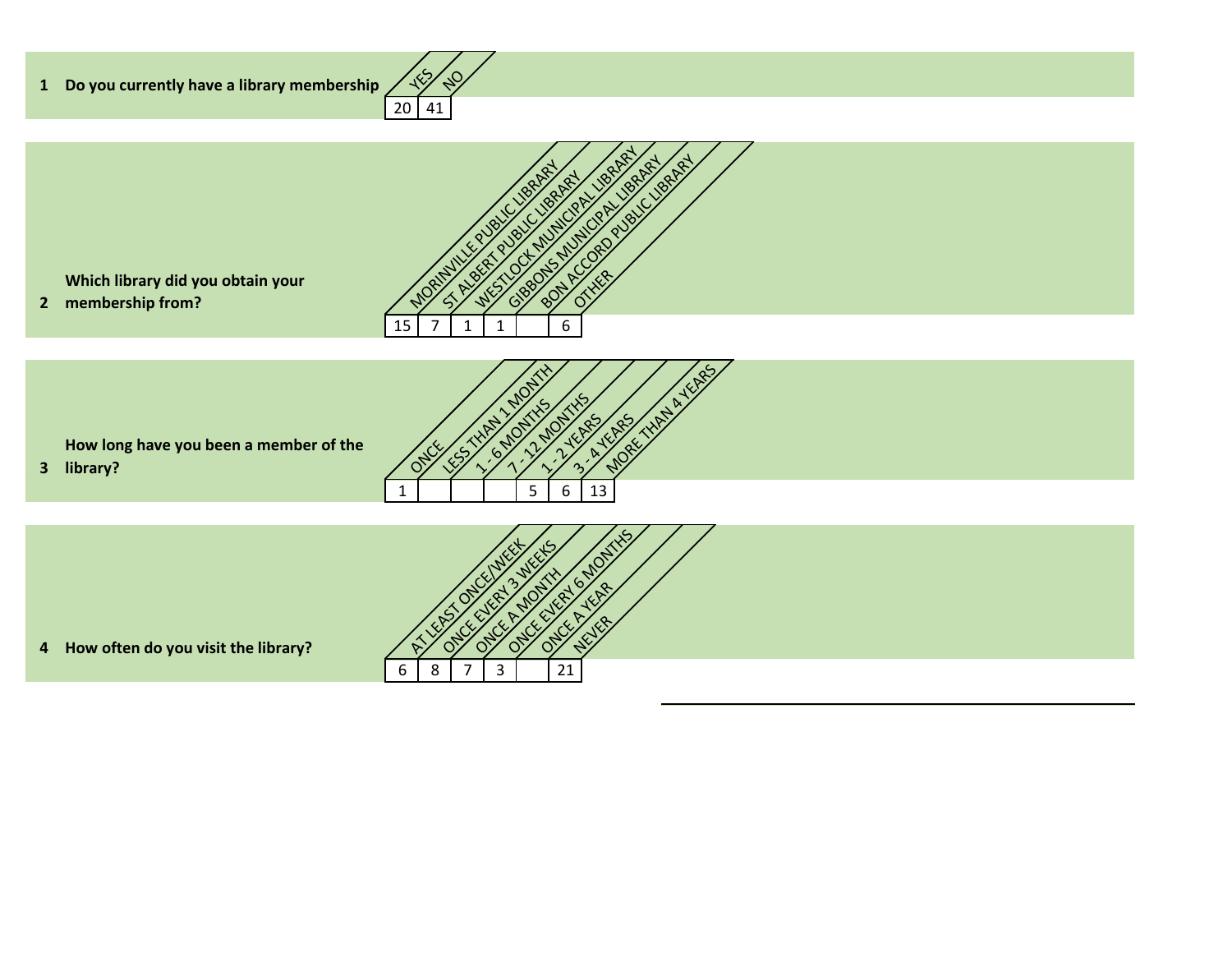



 $\sqrt{2}$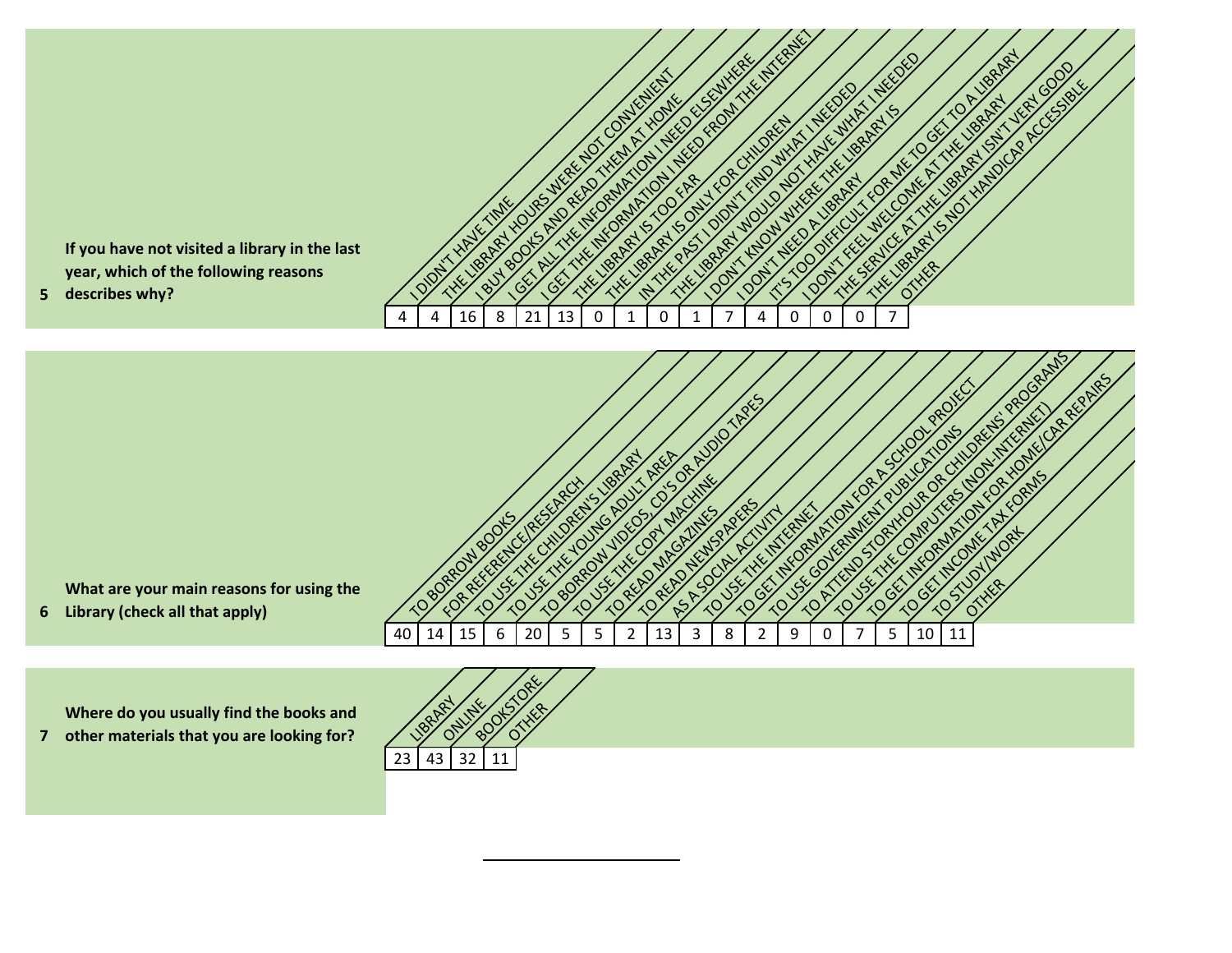

**Where do you usually find the books and <br>
other materials that you are looking for?** 

**7**

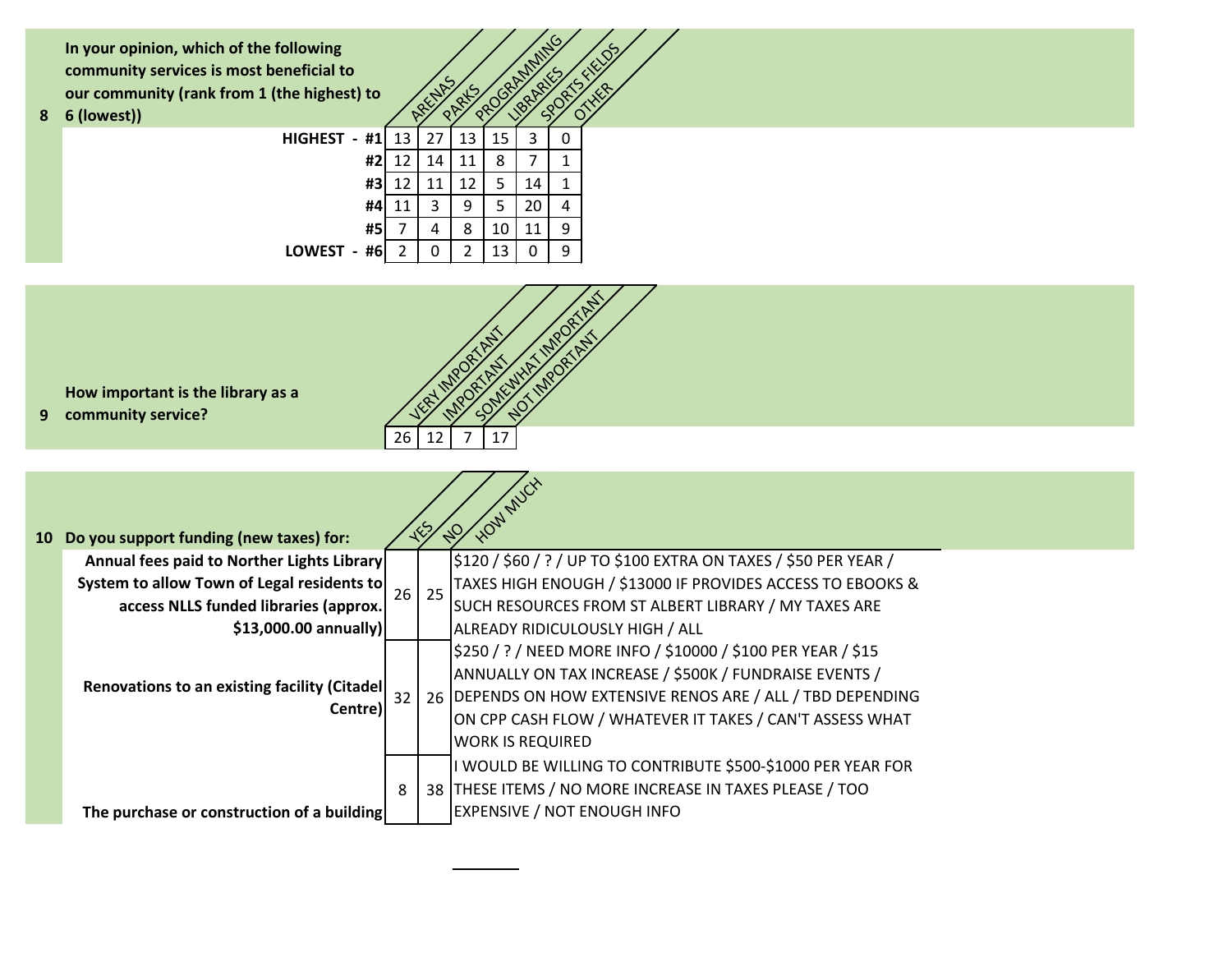**In your opinion, which of the following community services is most beneficial to our community (rank from 1 (the highest) to**<br> **6 (lowest))** ARENAS (lowest)

**8**

| following<br>eneficial to<br>the highest) to |    | ARELIAS |    | ROGRAMMING | <b>18AARIE</b> |   | FIELDS<br>THER |
|----------------------------------------------|----|---------|----|------------|----------------|---|----------------|
| HIGHEST -<br>#1                              | 13 | 27      | 13 | 15         | 3              | 0 |                |
| #2                                           | 12 | 14      | 11 | 8          |                | 1 |                |
| #3                                           | 12 | 11      | 12 | 5          | 14             | 1 |                |
| #4                                           | 11 | 3       | 9  | 5          | 20             | 4 |                |
| #5                                           | 7  | 4       | 8  | 10         | 11             | 9 |                |
| LOWEST -<br>#6                               | 2  | 0       | 2  | 13         | Ω              | 9 |                |



**How important is the library as a** 

**9** community service?

| 10 Do you support funding (new taxes) for:<br>Annual fees paid to Norther Lights Library<br>System to allow Town of Legal residents to<br>access NLLS funded libraries (approx. | 26 <sup>1</sup> | \$120 / \$60 / ? / UP TO \$100 EXTRA ON TAXES / \$50 PER YEAR /<br>TAXES HIGH ENOUGH / \$13000 IF PROVIDES ACCESS TO EBOOKS &<br>25<br>SUCH RESOURCES FROM ST ALBERT LIBRARY / MY TAXES ARE |                                                                                                                                                                                                                                                                                                                 |  |  |  |
|---------------------------------------------------------------------------------------------------------------------------------------------------------------------------------|-----------------|---------------------------------------------------------------------------------------------------------------------------------------------------------------------------------------------|-----------------------------------------------------------------------------------------------------------------------------------------------------------------------------------------------------------------------------------------------------------------------------------------------------------------|--|--|--|
| $$13,000.00$ annually)<br><b>Renovations to an existing facility (Citadel)</b><br>Centre)                                                                                       |                 |                                                                                                                                                                                             | ALREADY RIDICULOUSLY HIGH / ALL<br>\$250 / ? / NEED MORE INFO / \$10000 / \$100 PER YEAR / \$15<br>ANNUALLY ON TAX INCREASE / \$500K / FUNDRAISE EVENTS /<br>26 DEPENDS ON HOW EXTENSIVE RENOS ARE / ALL / TBD DEPENDING<br>ON CPP CASH FLOW / WHATEVER IT TAKES / CAN'T ASSESS WHAT<br><b>WORK IS REQUIRED</b> |  |  |  |
| The purchase or construction of a building                                                                                                                                      | 8               |                                                                                                                                                                                             | I WOULD BE WILLING TO CONTRIBUTE \$500-\$1000 PER YEAR FOR<br>38 THESE ITEMS / NO MORE INCREASE IN TAXES PLEASE / TOO<br><b>EXPENSIVE / NOT ENOUGH INFO</b>                                                                                                                                                     |  |  |  |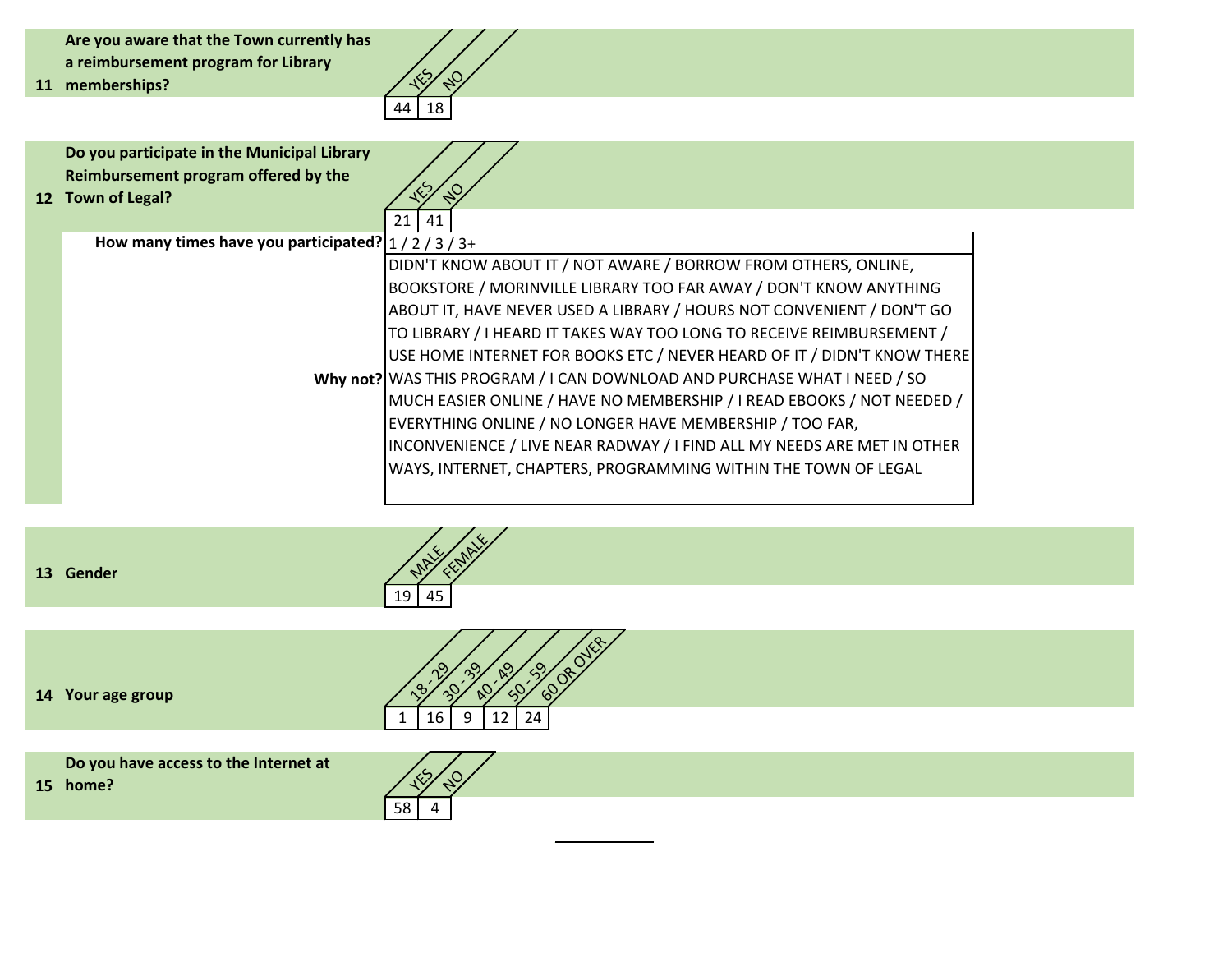**Are you aware that the Town currently has a reimbursement program for Library** 

**11** memberships?



 $\mathbb{Q}_p$ 

**FEMALE** 

58 4

**Do you participate in the Municipal Library Reimbursement program offered by the** 

**12** Town of Legal?

| 21<br>  41                                                               |
|--------------------------------------------------------------------------|
| How many times have you participated? $1/2/3/3+$                         |
| DIDN'T KNOW ABOUT IT / NOT AWARE / BORROW FROM OTHERS, ONLINE,           |
| BOOKSTORE / MORINVILLE LIBRARY TOO FAR AWAY / DON'T KNOW ANYTHING        |
| ABOUT IT, HAVE NEVER USED A LIBRARY / HOURS NOT CONVENIENT / DON'T GO    |
| TO LIBRARY / I HEARD IT TAKES WAY TOO LONG TO RECEIVE REIMBURSEMENT /    |
| USE HOME INTERNET FOR BOOKS ETC / NEVER HEARD OF IT / DIDN'T KNOW THERE  |
| Why not? WAS THIS PROGRAM / I CAN DOWNLOAD AND PURCHASE WHAT I NEED / SO |
| MUCH EASIER ONLINE / HAVE NO MEMBERSHIP / I READ EBOOKS / NOT NEEDED /   |
| EVERYTHING ONLINE / NO LONGER HAVE MEMBERSHIP / TOO FAR,                 |
| INCONVENIENCE / LIVE NEAR RADWAY / I FIND ALL MY NEEDS ARE MET IN OTHER  |
| WAYS, INTERNET, CHAPTERS, PROGRAMMING WITHIN THE TOWN OF LEGAL           |
|                                                                          |

**13** Gender MALES AND CONSULTER MANUSCRIPT OF THE SERVICE OF THE SERVICE OF THE SERVICE OF THE SERVICE OF THE SERVICE OF THE SERVICE OF THE SERVICE OF THE SERVICE OF THE SERVICE OF THE SERVICE OF THE SERVICE OF THE SERVICE

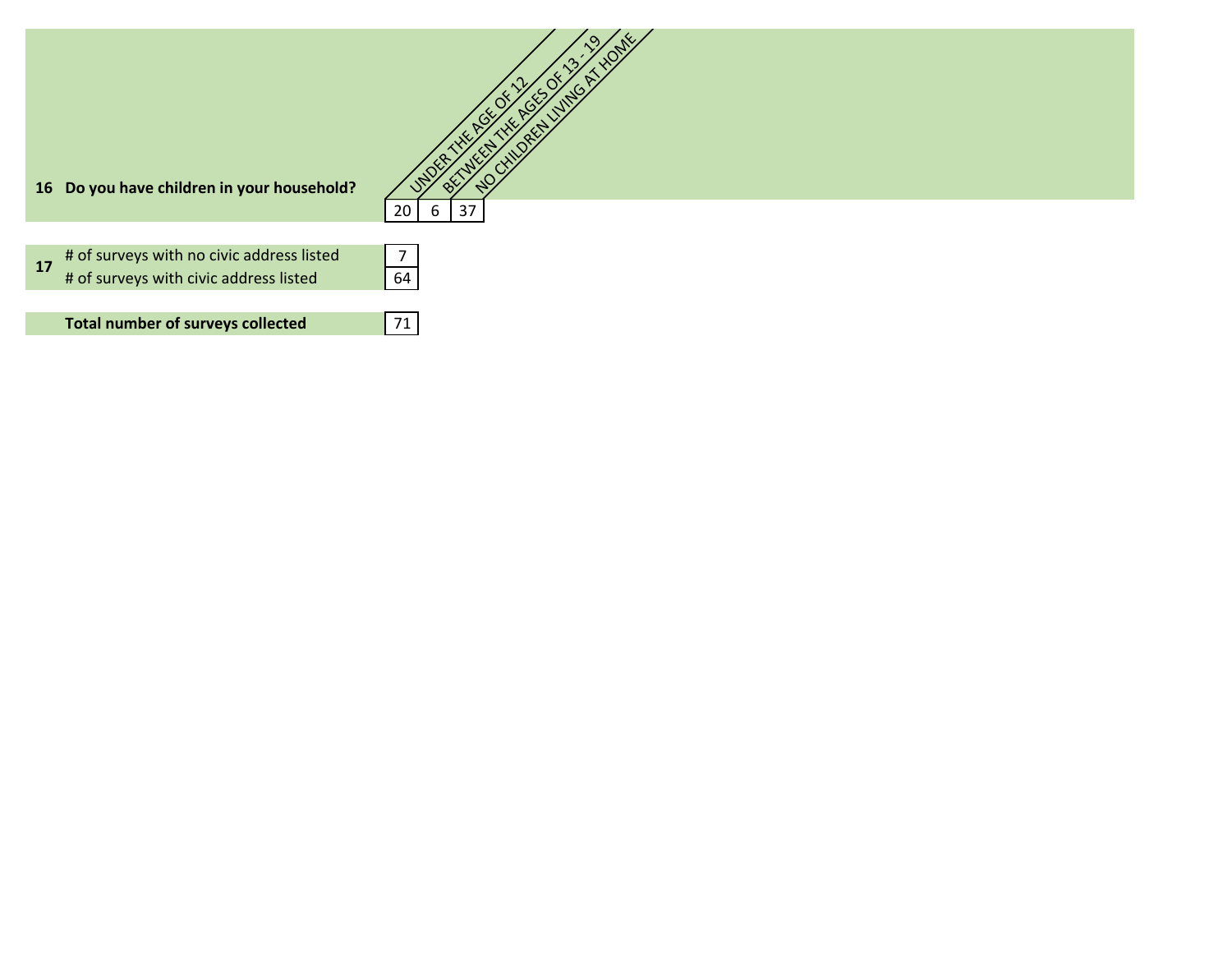| 16 Do you have children in your household?      |          |
|-------------------------------------------------|----------|
|                                                 | 20<br>37 |
| # of surveys with no civic address listed<br>17 | 7        |
| # of surveys with civic address listed          | 64       |
| <b>Total number of surveys collected</b>        | 71       |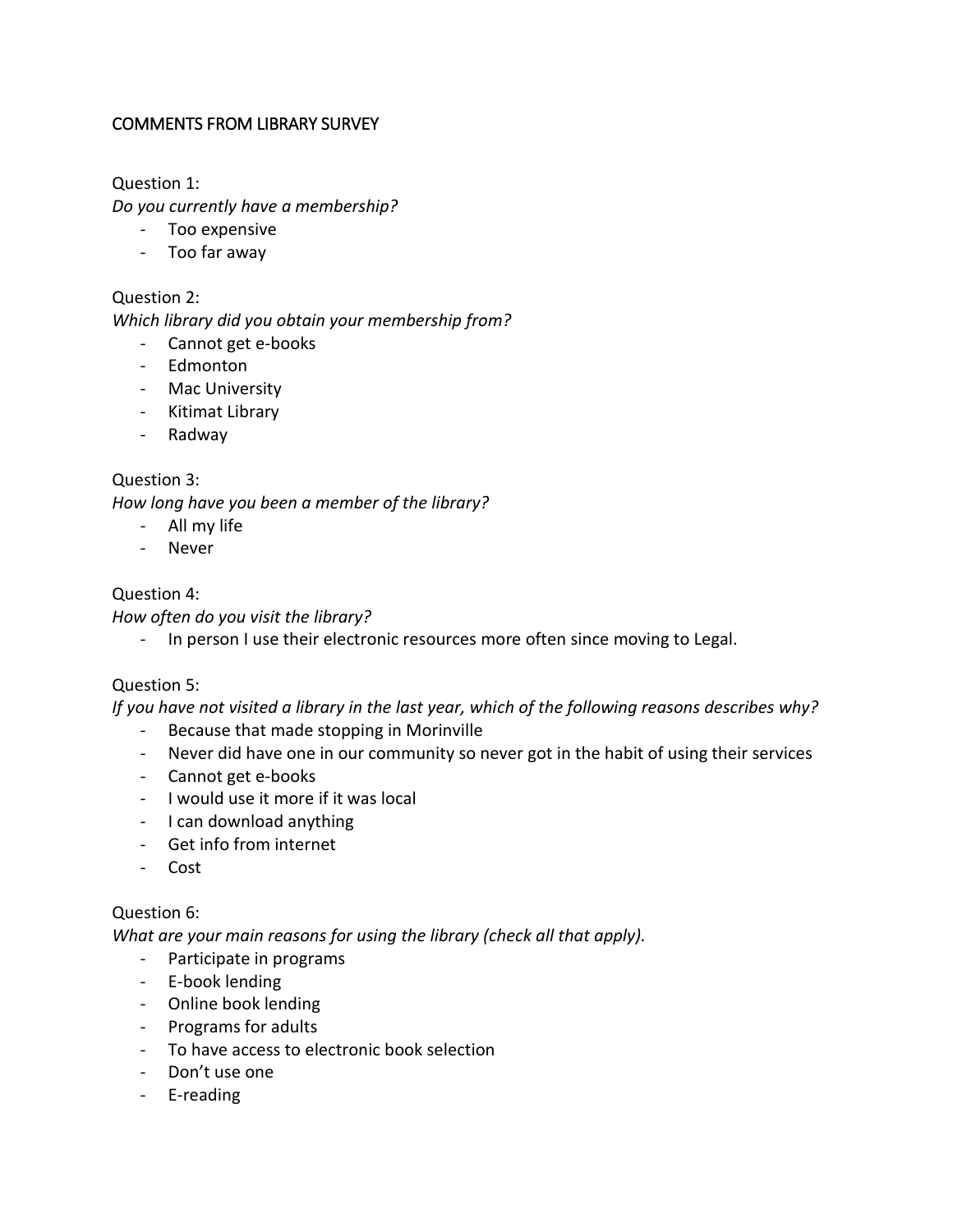# COMMENTS FROM LIBRARY SURVEY

Question 1:

*Do you currently have a membership?*

- Too expensive
- Too far away

### Question 2:

*Which library did you obtain your membership from?*

- Cannot get e-books
- Edmonton
- Mac University
- Kitimat Library
- Radway

# Question 3:

*How long have you been a member of the library?*

- All my life
- Never

### Question 4:

*How often do you visit the library?*

- In person I use their electronic resources more often since moving to Legal.

# Question 5:

*If you have not visited a library in the last year, which of the following reasons describes why?*

- Because that made stopping in Morinville
- Never did have one in our community so never got in the habit of using their services
- Cannot get e-books
- I would use it more if it was local
- I can download anything
- Get info from internet
- Cost

# Question 6:

*What are your main reasons for using the library (check all that apply).*

- Participate in programs
- E-book lending
- Online book lending
- Programs for adults
- To have access to electronic book selection
- Don't use one
- E-reading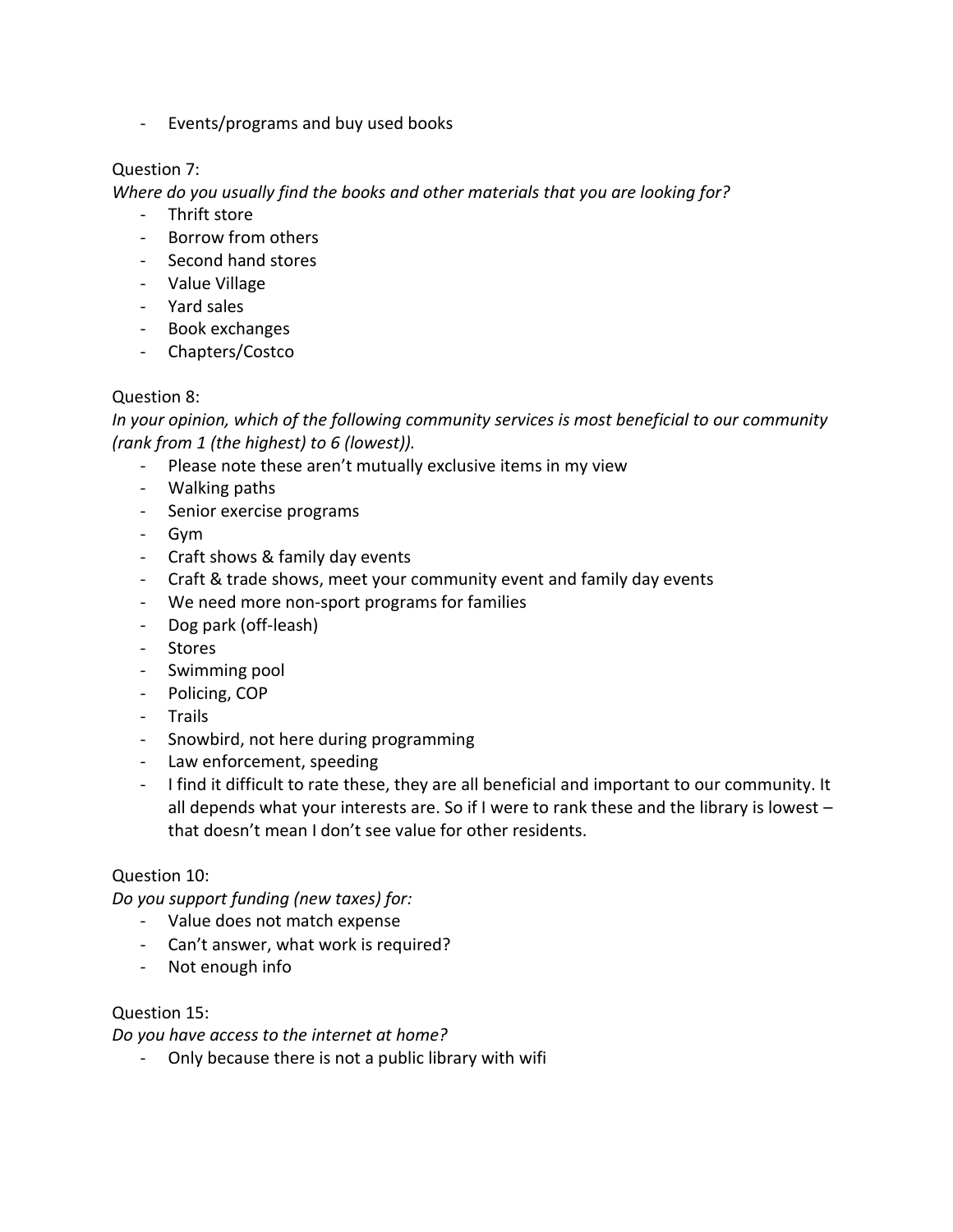- Events/programs and buy used books

# Question 7:

*Where do you usually find the books and other materials that you are looking for?*

- Thrift store
- Borrow from others
- Second hand stores
- Value Village
- Yard sales
- Book exchanges
- Chapters/Costco

# Question 8:

*In your opinion, which of the following community services is most beneficial to our community (rank from 1 (the highest) to 6 (lowest)).*

- Please note these aren't mutually exclusive items in my view
- Walking paths
- Senior exercise programs
- Gym
- Craft shows & family day events
- Craft & trade shows, meet your community event and family day events
- We need more non-sport programs for families
- Dog park (off-leash)
- Stores
- Swimming pool
- Policing, COP
- Trails
- Snowbird, not here during programming
- Law enforcement, speeding
- I find it difficult to rate these, they are all beneficial and important to our community. It all depends what your interests are. So if I were to rank these and the library is lowest – that doesn't mean I don't see value for other residents.

# Question 10:

*Do you support funding (new taxes) for:*

- Value does not match expense
- Can't answer, what work is required?
- Not enough info

# Question 15:

*Do you have access to the internet at home?*

Only because there is not a public library with wifi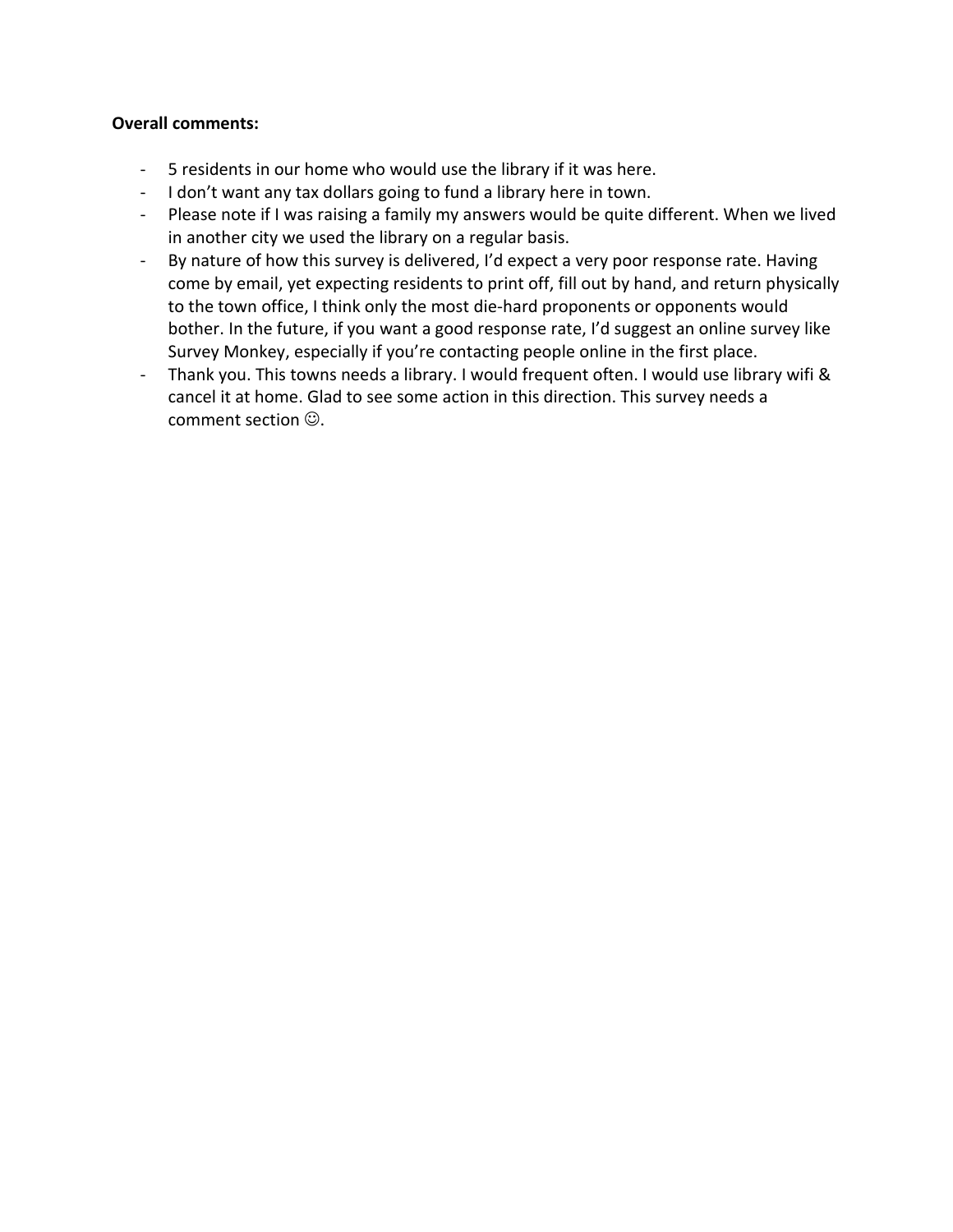#### **Overall comments:**

- 5 residents in our home who would use the library if it was here.
- I don't want any tax dollars going to fund a library here in town.
- Please note if I was raising a family my answers would be quite different. When we lived in another city we used the library on a regular basis.
- By nature of how this survey is delivered, I'd expect a very poor response rate. Having come by email, yet expecting residents to print off, fill out by hand, and return physically to the town office, I think only the most die-hard proponents or opponents would bother. In the future, if you want a good response rate, I'd suggest an online survey like Survey Monkey, especially if you're contacting people online in the first place.
- Thank you. This towns needs a library. I would frequent often. I would use library wifi & cancel it at home. Glad to see some action in this direction. This survey needs a comment section  $\mathbb{O}$ .